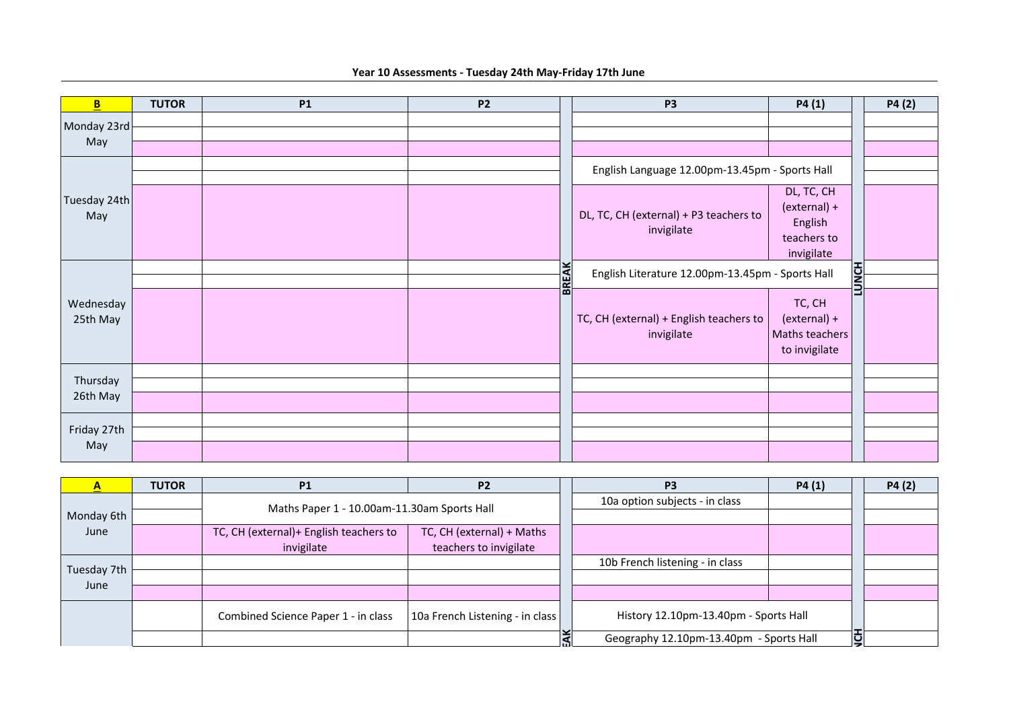**Year 10 Assessments - Tuesday 24th May-Friday 17th June** 

| B                    | <b>TUTOR</b> | <b>P1</b> | <b>P2</b> |           | <b>P3</b>                                             | P4(1)          |              | P4(2) |
|----------------------|--------------|-----------|-----------|-----------|-------------------------------------------------------|----------------|--------------|-------|
| Monday 23rd          |              |           |           |           |                                                       |                |              |       |
| May                  |              |           |           |           |                                                       |                |              |       |
|                      |              |           |           |           |                                                       |                |              |       |
|                      |              |           |           |           | English Language 12.00pm-13.45pm - Sports Hall        |                |              |       |
|                      |              |           |           |           | DL, TC, CH (external) + P3 teachers to<br>invigilate  | DL, TC, CH     |              |       |
| Tuesday 24th<br>May  |              |           |           |           |                                                       | (external) +   |              |       |
|                      |              |           |           |           |                                                       | English        |              |       |
|                      |              |           |           |           |                                                       | teachers to    |              |       |
|                      |              |           |           | EAK<br>BR |                                                       | invigilate     |              |       |
|                      |              |           |           |           | English Literature 12.00pm-13.45pm - Sports Hall      |                | <b>LUNCH</b> |       |
|                      |              |           |           |           |                                                       |                |              |       |
| Wednesday            |              |           |           |           | TC, CH (external) + English teachers to<br>invigilate | TC, CH         |              |       |
| 25th May             |              |           |           |           |                                                       | (external) +   |              |       |
|                      |              |           |           |           |                                                       | Maths teachers |              |       |
|                      |              |           |           |           |                                                       | to invigilate  |              |       |
|                      |              |           |           |           |                                                       |                |              |       |
| Thursday<br>26th May |              |           |           |           |                                                       |                |              |       |
|                      |              |           |           |           |                                                       |                |              |       |
| Friday 27th<br>May   |              |           |           |           |                                                       |                |              |       |
|                      |              |           |           |           |                                                       |                |              |       |
|                      |              |           |           |           |                                                       |                |              |       |

| $\overline{\mathbf{A}}$ | <b>TUTOR</b> | <b>P1</b>                              | P <sub>2</sub>                              |  | P <sub>3</sub>                          | P4(1) |   | P4(2) |
|-------------------------|--------------|----------------------------------------|---------------------------------------------|--|-----------------------------------------|-------|---|-------|
|                         |              |                                        | Maths Paper 1 - 10.00am-11.30am Sports Hall |  | 10a option subjects - in class          |       |   |       |
| Monday 6th              |              |                                        |                                             |  |                                         |       |   |       |
| June                    |              | TC, CH (external)+ English teachers to | TC, CH (external) + Maths                   |  |                                         |       |   |       |
|                         |              | invigilate                             | teachers to invigilate                      |  |                                         |       |   |       |
| Tuesday 7th             |              |                                        |                                             |  | 10b French listening - in class         |       |   |       |
| June                    |              |                                        |                                             |  |                                         |       |   |       |
|                         |              |                                        |                                             |  |                                         |       |   |       |
|                         |              | Combined Science Paper 1 - in class    | 10a French Listening - in class             |  | History 12.10pm-13.40pm - Sports Hall   |       |   |       |
|                         |              |                                        |                                             |  | Geography 12.10pm-13.40pm - Sports Hall |       | こ |       |